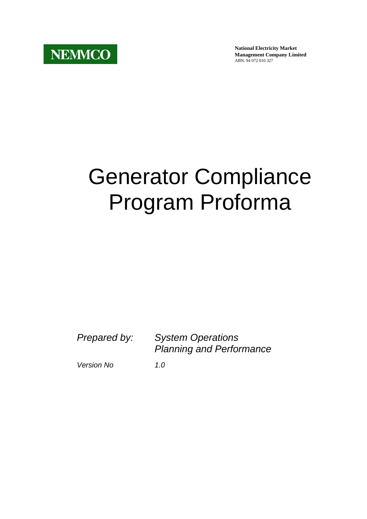**National Electricity Market Management Company Limited** ABN. 94 072 010 327

## Generator Compliance Program Proforma

*Prepared by: System Operations Planning and Performance* 

*Version No 1.0*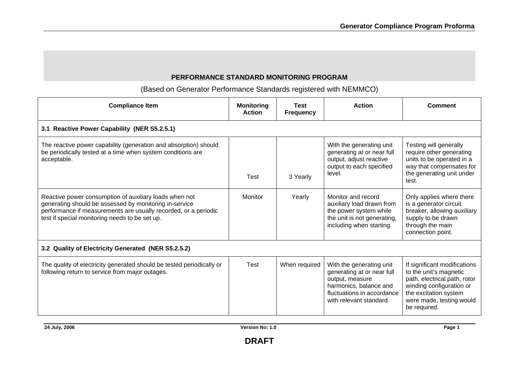## **PERFORMANCE STANDARD MONITORING PROGRAM**

(Based on Generator Performance Standards registered with NEMMCO)

| <b>Compliance Item</b>                                                                                                                                                                                                                | <b>Monitoring</b><br><b>Action</b> | Test<br><b>Frequency</b> | <b>Action</b>                                                                                                                                                | <b>Comment</b>                                                                                                                                                                          |
|---------------------------------------------------------------------------------------------------------------------------------------------------------------------------------------------------------------------------------------|------------------------------------|--------------------------|--------------------------------------------------------------------------------------------------------------------------------------------------------------|-----------------------------------------------------------------------------------------------------------------------------------------------------------------------------------------|
| 3.1 Reactive Power Capability (NER S5.2.5.1)                                                                                                                                                                                          |                                    |                          |                                                                                                                                                              |                                                                                                                                                                                         |
| The reactive power capability (generation and absorption) should<br>be periodically tested at a time when system conditions are<br>acceptable.                                                                                        | Test                               | 3 Yearly                 | With the generating unit<br>generating at or near full<br>output, adjust reactive<br>output to each specified<br>level.                                      | Testing will generally<br>require other generating<br>units to be operated in a<br>way that compensates for<br>the generating unit under<br>test.                                       |
| Reactive power consumption of auxiliary loads when not<br>generating should be assessed by monitoring in-service<br>performance if measurements are usually recorded, or a periodic<br>test if special monitoring needs to be set up. | Monitor                            | Yearly                   | Monitor and record<br>auxiliary load drawn from<br>the power system while<br>the unit is not generating,<br>including when starting.                         | Only applies where there<br>is a generator circuit<br>breaker, allowing auxiliary<br>supply to be drawn<br>through the main<br>connection point.                                        |
| 3.2 Quality of Electricity Generated (NER S5.2.5.2)                                                                                                                                                                                   |                                    |                          |                                                                                                                                                              |                                                                                                                                                                                         |
| The quality of electricity generated should be tested periodically or<br>following return to service from major outages.                                                                                                              | Test                               | When required            | With the generating unit<br>generating at or near full<br>output, measure<br>harmonics, balance and<br>fluctuations in accordance<br>with relevant standard. | If significant modifications<br>to the unit's magnetic<br>path, electrical path, rotor<br>winding configuration or<br>the excitation system<br>were made, testing would<br>be required. |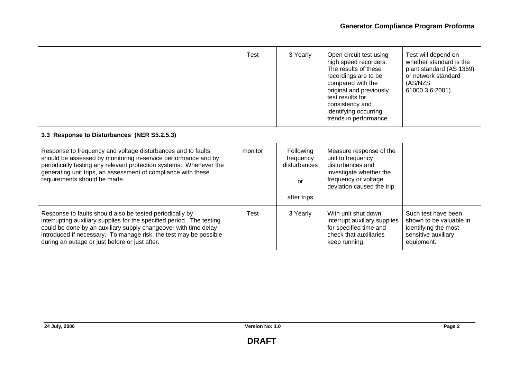|                                                                                                                                                                                                                                                                                                                             | Test    | 3 Yearly                                                    | Open circuit test using<br>high speed recorders.<br>The results of these<br>recordings are to be<br>compared with the<br>original and previously<br>test results for<br>consistency and<br>identifying occurring<br>trends in performance. | Test will depend on<br>whether standard is the<br>plant standard (AS 1359)<br>or network standard<br>(AS/NZS<br>61000.3.6:2001). |
|-----------------------------------------------------------------------------------------------------------------------------------------------------------------------------------------------------------------------------------------------------------------------------------------------------------------------------|---------|-------------------------------------------------------------|--------------------------------------------------------------------------------------------------------------------------------------------------------------------------------------------------------------------------------------------|----------------------------------------------------------------------------------------------------------------------------------|
| 3.3 Response to Disturbances (NER S5.2.5.3)                                                                                                                                                                                                                                                                                 |         |                                                             |                                                                                                                                                                                                                                            |                                                                                                                                  |
| Response to frequency and voltage disturbances and to faults<br>should be assessed by monitoring in-service performance and by<br>periodically testing any relevant protection systems. Whenever the<br>generating unit trips, an assessment of compliance with these<br>requirements should be made.                       | monitor | Following<br>frequency<br>disturbances<br>or<br>after trips | Measure response of the<br>unit to frequency<br>disturbances and<br>investigate whether the<br>frequency or voltage<br>deviation caused the trip.                                                                                          |                                                                                                                                  |
| Response to faults should also be tested periodically by<br>interrupting auxiliary supplies for the specified period. The testing<br>could be done by an auxiliary supply changeover with time delay<br>introduced if necessary. To manage risk, the test may be possible<br>during an outage or just before or just after. | Test    | 3 Yearly                                                    | With unit shut down,<br>interrupt auxiliary supplies<br>for specified time and<br>check that auxiliaries<br>keep running.                                                                                                                  | Such test have been<br>shown to be valuable in<br>identifying the most<br>sensitive auxiliary<br>equipment.                      |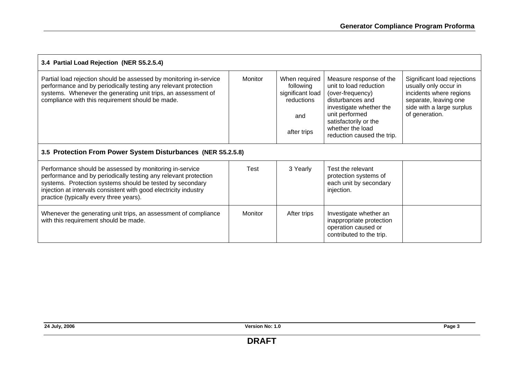| 3.4 Partial Load Rejection (NER S5.2.5.4)                                                                                                                                                                                                                                                              |         |                                                                                    |                                                                                                                                                                                                                   |                                                                                                                                                         |  |
|--------------------------------------------------------------------------------------------------------------------------------------------------------------------------------------------------------------------------------------------------------------------------------------------------------|---------|------------------------------------------------------------------------------------|-------------------------------------------------------------------------------------------------------------------------------------------------------------------------------------------------------------------|---------------------------------------------------------------------------------------------------------------------------------------------------------|--|
| Partial load rejection should be assessed by monitoring in-service<br>performance and by periodically testing any relevant protection<br>systems. Whenever the generating unit trips, an assessment of<br>compliance with this requirement should be made.                                             | Monitor | When required<br>following<br>significant load<br>reductions<br>and<br>after trips | Measure response of the<br>unit to load reduction<br>(over-frequency)<br>disturbances and<br>investigate whether the<br>unit performed<br>satisfactorily or the<br>whether the load<br>reduction caused the trip. | Significant load rejections<br>usually only occur in<br>incidents where regions<br>separate, leaving one<br>side with a large surplus<br>of generation. |  |
| 3.5 Protection From Power System Disturbances (NER S5.2.5.8)                                                                                                                                                                                                                                           |         |                                                                                    |                                                                                                                                                                                                                   |                                                                                                                                                         |  |
| Performance should be assessed by monitoring in-service<br>performance and by periodically testing any relevant protection<br>systems. Protection systems should be tested by secondary<br>injection at intervals consistent with good electricity industry<br>practice (typically every three years). | Test    | 3 Yearly                                                                           | Test the relevant<br>protection systems of<br>each unit by secondary<br>injection.                                                                                                                                |                                                                                                                                                         |  |
| Whenever the generating unit trips, an assessment of compliance<br>with this requirement should be made.                                                                                                                                                                                               | Monitor | After trips                                                                        | Investigate whether an<br>inappropriate protection<br>operation caused or<br>contributed to the trip.                                                                                                             |                                                                                                                                                         |  |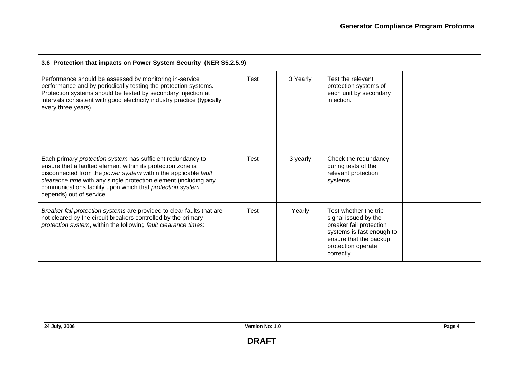| 3.6 Protection that impacts on Power System Security (NER S5.2.5.9)                                                                                                                                                                                                                                                                                       |             |          |                                                                                                                                                                     |  |
|-----------------------------------------------------------------------------------------------------------------------------------------------------------------------------------------------------------------------------------------------------------------------------------------------------------------------------------------------------------|-------------|----------|---------------------------------------------------------------------------------------------------------------------------------------------------------------------|--|
| Performance should be assessed by monitoring in-service<br>performance and by periodically testing the protection systems.<br>Protection systems should be tested by secondary injection at<br>intervals consistent with good electricity industry practice (typically<br>every three years).                                                             | Test        | 3 Yearly | Test the relevant<br>protection systems of<br>each unit by secondary<br>injection.                                                                                  |  |
| Each primary protection system has sufficient redundancy to<br>ensure that a faulted element within its protection zone is<br>disconnected from the power system within the applicable fault<br>clearance time with any single protection element (including any<br>communications facility upon which that protection system<br>depends) out of service. | Test        | 3 yearly | Check the redundancy<br>during tests of the<br>relevant protection<br>systems.                                                                                      |  |
| Breaker fail protection systems are provided to clear faults that are<br>not cleared by the circuit breakers controlled by the primary<br>protection system, within the following fault clearance times:                                                                                                                                                  | <b>Test</b> | Yearly   | Test whether the trip<br>signal issued by the<br>breaker fail protection<br>systems is fast enough to<br>ensure that the backup<br>protection operate<br>correctly. |  |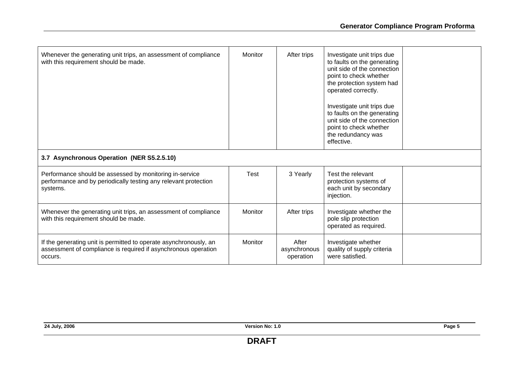| Whenever the generating unit trips, an assessment of compliance<br>with this requirement should be made.                                       | Monitor | After trips                        | Investigate unit trips due<br>to faults on the generating<br>unit side of the connection<br>point to check whether<br>the protection system had<br>operated correctly.<br>Investigate unit trips due<br>to faults on the generating<br>unit side of the connection<br>point to check whether<br>the redundancy was<br>effective. |  |
|------------------------------------------------------------------------------------------------------------------------------------------------|---------|------------------------------------|----------------------------------------------------------------------------------------------------------------------------------------------------------------------------------------------------------------------------------------------------------------------------------------------------------------------------------|--|
| 3.7 Asynchronous Operation (NER S5.2.5.10)                                                                                                     |         |                                    |                                                                                                                                                                                                                                                                                                                                  |  |
| Performance should be assessed by monitoring in-service<br>performance and by periodically testing any relevant protection<br>systems.         | Test    | 3 Yearly                           | Test the relevant<br>protection systems of<br>each unit by secondary<br>injection.                                                                                                                                                                                                                                               |  |
| Whenever the generating unit trips, an assessment of compliance<br>with this requirement should be made.                                       | Monitor | After trips                        | Investigate whether the<br>pole slip protection<br>operated as required.                                                                                                                                                                                                                                                         |  |
| If the generating unit is permitted to operate asynchronously, an<br>assessment of compliance is required if asynchronous operation<br>occurs. | Monitor | After<br>asynchronous<br>operation | Investigate whether<br>quality of supply criteria<br>were satisfied.                                                                                                                                                                                                                                                             |  |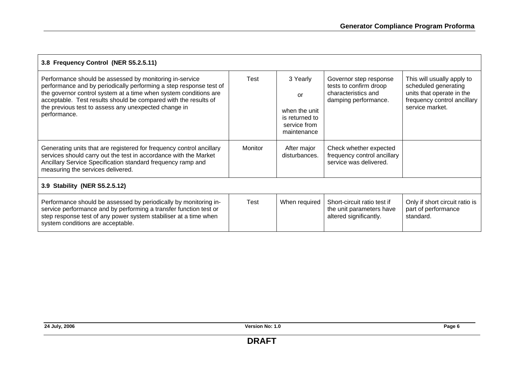| 3.8 Frequency Control (NER S5.2.5.11)                                                                                                                                                                                                                                                                                                        |                |                                                                                  |                                                                                                 |                                                                                                                                   |  |
|----------------------------------------------------------------------------------------------------------------------------------------------------------------------------------------------------------------------------------------------------------------------------------------------------------------------------------------------|----------------|----------------------------------------------------------------------------------|-------------------------------------------------------------------------------------------------|-----------------------------------------------------------------------------------------------------------------------------------|--|
| Performance should be assessed by monitoring in-service<br>performance and by periodically performing a step response test of<br>the governor control system at a time when system conditions are<br>acceptable. Test results should be compared with the results of<br>the previous test to assess any unexpected change in<br>performance. | Test           | 3 Yearly<br>or<br>when the unit<br>is returned to<br>service from<br>maintenance | Governor step response<br>tests to confirm droop<br>characteristics and<br>damping performance. | This will usually apply to<br>scheduled generating<br>units that operate in the<br>frequency control ancillary<br>service market. |  |
| Generating units that are registered for frequency control ancillary<br>services should carry out the test in accordance with the Market<br>Ancillary Service Specification standard frequency ramp and<br>measuring the services delivered.                                                                                                 | <b>Monitor</b> | After major<br>disturbances.                                                     | Check whether expected<br>frequency control ancillary<br>service was delivered.                 |                                                                                                                                   |  |
| 3.9 Stability (NER S5.2.5.12)                                                                                                                                                                                                                                                                                                                |                |                                                                                  |                                                                                                 |                                                                                                                                   |  |
| Performance should be assessed by periodically by monitoring in-<br>service performance and by performing a transfer function test or<br>step response test of any power system stabiliser at a time when<br>system conditions are acceptable.                                                                                               | Test           | When required                                                                    | Short-circuit ratio test if<br>the unit parameters have<br>altered significantly.               | Only if short circuit ratio is<br>part of performance<br>standard.                                                                |  |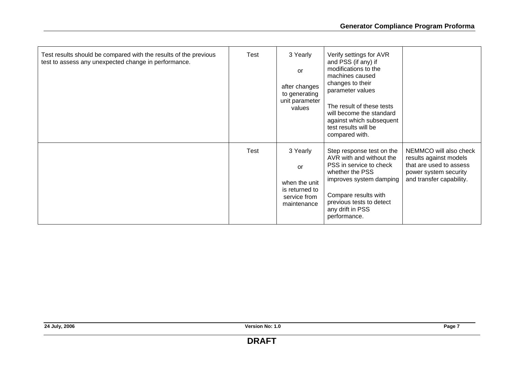| Test results should be compared with the results of the previous<br>test to assess any unexpected change in performance. | Test | 3 Yearly<br>or<br>after changes<br>to generating<br>unit parameter<br>values     | Verify settings for AVR<br>and PSS (if any) if<br>modifications to the<br>machines caused<br>changes to their<br>parameter values<br>The result of these tests<br>will become the standard<br>against which subsequent<br>test results will be<br>compared with. |                                                                                                                                  |
|--------------------------------------------------------------------------------------------------------------------------|------|----------------------------------------------------------------------------------|------------------------------------------------------------------------------------------------------------------------------------------------------------------------------------------------------------------------------------------------------------------|----------------------------------------------------------------------------------------------------------------------------------|
|                                                                                                                          | Test | 3 Yearly<br>or<br>when the unit<br>is returned to<br>service from<br>maintenance | Step response test on the<br>AVR with and without the<br>PSS in service to check<br>whether the PSS<br>improves system damping<br>Compare results with<br>previous tests to detect<br>any drift in PSS<br>performance.                                           | NEMMCO will also check<br>results against models<br>that are used to assess<br>power system security<br>and transfer capability. |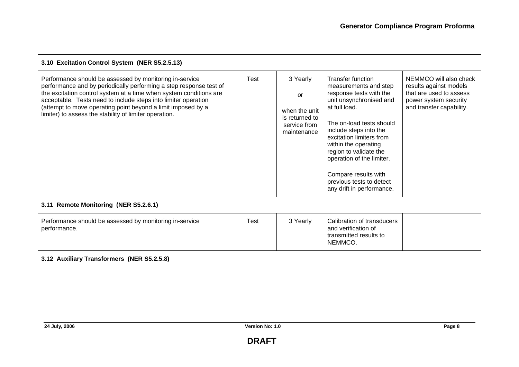| 3.10 Excitation Control System (NER S5.2.5.13)                                                                                                                                                                                                                                                                                                                                                  |             |                                                                                         |                                                                                                                                                                                                                                                                                                                                                                            |                                                                                                                                  |  |
|-------------------------------------------------------------------------------------------------------------------------------------------------------------------------------------------------------------------------------------------------------------------------------------------------------------------------------------------------------------------------------------------------|-------------|-----------------------------------------------------------------------------------------|----------------------------------------------------------------------------------------------------------------------------------------------------------------------------------------------------------------------------------------------------------------------------------------------------------------------------------------------------------------------------|----------------------------------------------------------------------------------------------------------------------------------|--|
| Performance should be assessed by monitoring in-service<br>performance and by periodically performing a step response test of<br>the excitation control system at a time when system conditions are<br>acceptable. Tests need to include steps into limiter operation<br>(attempt to move operating point beyond a limit imposed by a<br>limiter) to assess the stability of limiter operation. | Test        | 3 Yearly<br><b>or</b><br>when the unit<br>is returned to<br>service from<br>maintenance | <b>Transfer function</b><br>measurements and step<br>response tests with the<br>unit unsynchronised and<br>at full load.<br>The on-load tests should<br>include steps into the<br>excitation limiters from<br>within the operating<br>region to validate the<br>operation of the limiter.<br>Compare results with<br>previous tests to detect<br>any drift in performance. | NEMMCO will also check<br>results against models<br>that are used to assess<br>power system security<br>and transfer capability. |  |
| 3.11 Remote Monitoring (NER S5.2.6.1)                                                                                                                                                                                                                                                                                                                                                           |             |                                                                                         |                                                                                                                                                                                                                                                                                                                                                                            |                                                                                                                                  |  |
| Performance should be assessed by monitoring in-service<br>performance.                                                                                                                                                                                                                                                                                                                         | <b>Test</b> | 3 Yearly                                                                                | Calibration of transducers<br>and verification of<br>transmitted results to<br>NEMMCO.                                                                                                                                                                                                                                                                                     |                                                                                                                                  |  |
| 3.12 Auxiliary Transformers (NER S5.2.5.8)                                                                                                                                                                                                                                                                                                                                                      |             |                                                                                         |                                                                                                                                                                                                                                                                                                                                                                            |                                                                                                                                  |  |